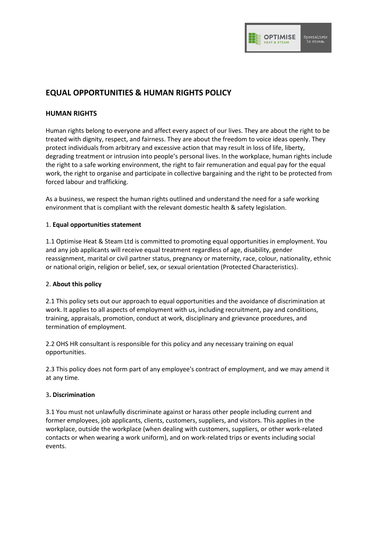

# **EQUAL OPPORTUNITIES & HUMAN RIGHTS POLICY**

## **HUMAN RIGHTS**

Human rights belong to everyone and affect every aspect of our lives. They are about the right to be treated with dignity, respect, and fairness. They are about the freedom to voice ideas openly. They protect individuals from arbitrary and excessive action that may result in loss of life, liberty, degrading treatment or intrusion into people's personal lives. In the workplace, human rights include the right to a safe working environment, the right to fair remuneration and equal pay for the equal work, the right to organise and participate in collective bargaining and the right to be protected from forced labour and trafficking.

As a business, we respect the human rights outlined and understand the need for a safe working environment that is compliant with the relevant domestic health & safety legislation.

## 1. **Equal opportunities statement**

1.1 Optimise Heat & Steam Ltd is committed to promoting equal opportunities in employment. You and any job applicants will receive equal treatment regardless of age, disability, gender reassignment, marital or civil partner status, pregnancy or maternity, race, colour, nationality, ethnic or national origin, religion or belief, sex, or sexual orientation (Protected Characteristics).

## 2. **About this policy**

2.1 This policy sets out our approach to equal opportunities and the avoidance of discrimination at work. It applies to all aspects of employment with us, including recruitment, pay and conditions, training, appraisals, promotion, conduct at work, disciplinary and grievance procedures, and termination of employment.

2.2 OHS HR consultant is responsible for this policy and any necessary training on equal opportunities.

2.3 This policy does not form part of any employee's contract of employment, and we may amend it at any time.

#### 3**. Discrimination**

3.1 You must not unlawfully discriminate against or harass other people including current and former employees, job applicants, clients, customers, suppliers, and visitors. This applies in the workplace, outside the workplace (when dealing with customers, suppliers, or other work-related contacts or when wearing a work uniform), and on work-related trips or events including social events.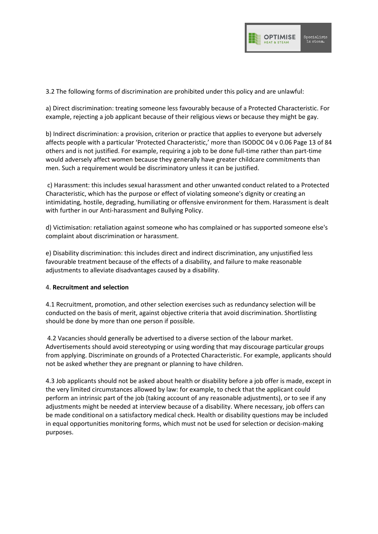

3.2 The following forms of discrimination are prohibited under this policy and are unlawful:

a) Direct discrimination: treating someone less favourably because of a Protected Characteristic. For example, rejecting a job applicant because of their religious views or because they might be gay.

b) Indirect discrimination: a provision, criterion or practice that applies to everyone but adversely affects people with a particular 'Protected Characteristic,' more than ISODOC 04 v 0.06 Page 13 of 84 others and is not justified. For example, requiring a job to be done full-time rather than part-time would adversely affect women because they generally have greater childcare commitments than men. Such a requirement would be discriminatory unless it can be justified.

c) Harassment: this includes sexual harassment and other unwanted conduct related to a Protected Characteristic, which has the purpose or effect of violating someone's dignity or creating an intimidating, hostile, degrading, humiliating or offensive environment for them. Harassment is dealt with further in our Anti-harassment and Bullying Policy.

d) Victimisation: retaliation against someone who has complained or has supported someone else's complaint about discrimination or harassment.

e) Disability discrimination: this includes direct and indirect discrimination, any unjustified less favourable treatment because of the effects of a disability, and failure to make reasonable adjustments to alleviate disadvantages caused by a disability.

## 4. **Recruitment and selection**

4.1 Recruitment, promotion, and other selection exercises such as redundancy selection will be conducted on the basis of merit, against objective criteria that avoid discrimination. Shortlisting should be done by more than one person if possible.

4.2 Vacancies should generally be advertised to a diverse section of the labour market. Advertisements should avoid stereotyping or using wording that may discourage particular groups from applying. Discriminate on grounds of a Protected Characteristic. For example, applicants should not be asked whether they are pregnant or planning to have children.

4.3 Job applicants should not be asked about health or disability before a job offer is made, except in the very limited circumstances allowed by law: for example, to check that the applicant could perform an intrinsic part of the job (taking account of any reasonable adjustments), or to see if any adjustments might be needed at interview because of a disability. Where necessary, job offers can be made conditional on a satisfactory medical check. Health or disability questions may be included in equal opportunities monitoring forms, which must not be used for selection or decision-making purposes.